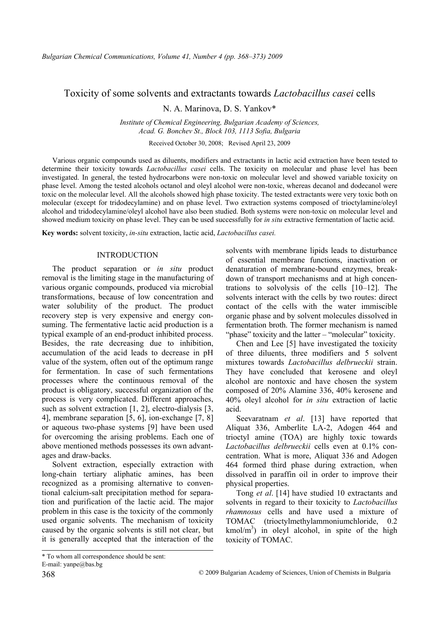# Toxicity of some solvents and extractants towards *Lactobacillus casei* cells

N. A. Marinova, D. S. Yankov\*

*Institute of Chemical Engineering, Bulgarian Academy of Sciences, Acad. G. Bonchev St., Block 103, 1113 Sofia, Bulgaria* 

Received October 30, 2008; Revised April 23, 2009

Various organic compounds used as diluents, modifiers and extractants in lactic acid extraction have been tested to determine their toxicity towards *Lactobacillus casei* cells. The toxicity on molecular and phase level has been investigated. In general, the tested hydrocarbons were non-toxic on molecular level and showed variable toxicity on phase level. Among the tested alcohols octanol and oleyl alcohol were non-toxic, whereas decanol and dodecanol were toxic on the molecular level. All the alcohols showed high phase toxicity. The tested extractants were very toxic both on molecular (except for tridodecylamine) and on phase level. Two extraction systems composed of trioctylamine/oleyl alcohol and tridodecylamine/oleyl alcohol have also been studied. Both systems were non-toxic on molecular level and showed medium toxicity on phase level. They can be used successfully for *in situ* extractive fermentation of lactic acid.

**Key words:** solvent toxicity, *in-situ* extraction, lactic acid, *Lactobacillus casei.* 

# INTRODUCTION

The product separation or *in situ* product removal is the limiting stage in the manufacturing of various organic compounds, produced via microbial transformations, because of low concentration and water solubility of the product. The product recovery step is very expensive and energy consuming. The fermentative lactic acid production is a typical example of an end-product inhibited process. Besides, the rate decreasing due to inhibition, accumulation of the acid leads to decrease in pH value of the system, often out of the optimum range for fermentation. In case of such fermentations processes where the continuous removal of the product is obligatory, successful organization of the process is very complicated. Different approaches, such as solvent extraction [1, 2], electro-dialysis [3, 4], membrane separation [5, 6], ion-exchange [7, 8] or aqueous two-phase systems [9] have been used for overcoming the arising problems. Each one of above mentioned methods possesses its own advantages and draw-backs.

Solvent extraction, especially extraction with long-chain tertiary aliphatic amines, has been recognized as a promising alternative to conventional calcium-salt precipitation method for separation and purification of the lactic acid. The major problem in this case is the toxicity of the commonly used organic solvents. The mechanism of toxicity caused by the organic solvents is still not clear, but it is generally accepted that the interaction of the solvents with membrane lipids leads to disturbance of essential membrane functions, inactivation or denaturation of membrane-bound enzymes, breakdown of transport mechanisms and at high concentrations to solvolysis of the cells [10–12]. The solvents interact with the cells by two routes: direct contact of the cells with the water immiscible organic phase and by solvent molecules dissolved in fermentation broth. The former mechanism is named "phase" toxicity and the latter – "molecular" toxicity.

Chen and Lee [5] have investigated the toxicity of three diluents, three modifiers and 5 solvent mixtures towards *Lactobacillus delbrueckii* strain. They have concluded that kerosene and oleyl alcohol are nontoxic and have chosen the system composed of 20% Alamine 336, 40% kerosene and 40% oleyl alcohol for *in situ* extraction of lactic acid.

Seevaratnam *et al*. [13] have reported that Aliquat 336, Amberlite LA-2, Adogen 464 and trioctyl amine (TOA) are highly toxic towards *Lactobacillus delbrueckii* cells even at 0.1% concentration. What is more, Aliquat 336 and Adogen 464 formed third phase during extraction, when dissolved in paraffin oil in order to improve their physical properties.

Tong *et al*. [14] have studied 10 extractants and solvents in regard to their toxicity to *Lactobacillus rhamnosus* cells and have used a mixture of TOMAC (trioctylmethylammoniumchloride, 0.2  $kmol/m<sup>3</sup>$ ) in oleyl alcohol, in spite of the high toxicity of TOMAC.

<sup>\*</sup> To whom all correspondence should be sent: E-mail:  $v$ anpe@bas.bg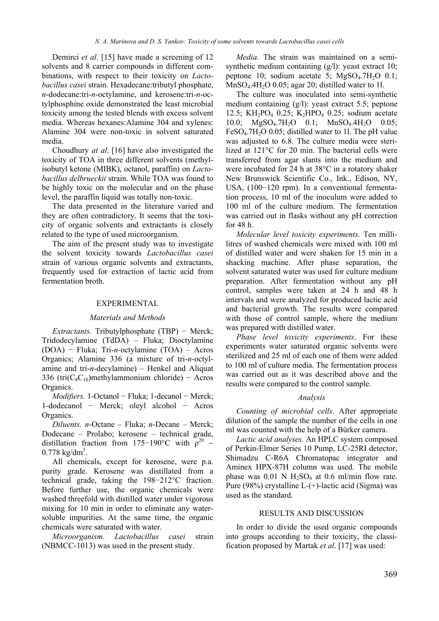Demirci *et al*. [15] have made a screening of 12 solvents and 8 carrier compounds in different combinations, with respect to their toxicity on *Lactobacillus casei* strain. Hexadecane:tributyl phosphate, *n*-dodecane:tri-*n*-octylamine, and kerosene:tri-*n*-octylphosphine oxide demonstrated the least microbial toxicity among the tested blends with excess solvent media. Whereas hexanes:Alamine 304 and xylenes: Alamine 304 were non-toxic in solvent saturated media.

Choudhury *at al*. [16] have also investigated the toxicity of TOA in three different solvents (methylisobutyl ketone (MIBK), octanol, paraffin) on *Lactobacillus delbrueckii* strain. While TOA was found to be highly toxic on the molecular and on the phase level, the paraffin liquid was totally non-toxic.

The data presented in the literature varied and they are often contradictory. It seems that the toxicity of organic solvents and extractants is closely related to the type of used microorganism.

The aim of the present study was to investigate the solvent toxicity towards *Lactobacillus casei* strain of various organic solvents and extractants, frequently used for extraction of lactic acid from fermentation broth.

#### EXPERIMENTAL

#### *Materials and Methods*

*Extractants.* Tributylphosphate (TBP) − Merck; Tridodecylamine (TdDA) – Fluka; Dioctylamine (DOA) − Fluka; Tri-*n*-octylamine (TOA) – Acros Organics; Alamine 336 (a mixture of tri-*n*-octylamine and tri-*n*-decylamine) – Henkel and Aliquat 336 (tri $(C_8C_{10})$ methylammonium chloride) – Acros Organics.

*Modifiers.* 1-Octanol − Fluka; 1-decanol − Merck; 1-dodecanol − Merck; oleyl alcohol − Acros Organics.

*Diluents. n*-Octane – Fluka; *n*-Decane – Merck; Dodecane – Prolabo; kerosene – technical grade, distillation fraction from 175−190°C with  $\rho^{20} \sim$  $0.778 \text{ kg/dm}^3$ .

All chemicals, except for kerosene, were p.a. purity grade. Kerosene was distillated from a technical grade, taking the 198−212°C fraction. Before further use, the organic chemicals were washed threefold with distilled water under vigorous mixing for 10 min in order to eliminate any watersoluble impurities. At the same time, the organic chemicals were saturated with water.

*Microorganism*. *Lactobacillus casei* strain (NBMCC-1013) was used in the present study.

*Media.* The strain was maintained on a semisynthetic medium containing (g/l): yeast extract 10; peptone 10; sodium acetate 5;  $MgSO<sub>4</sub>$ .7H<sub>2</sub>O 0.1;  $MnSO<sub>4</sub>.4H<sub>2</sub>O$  0.05; agar 20; distilled water to 1l.

The culture was inoculated into semi-synthetic medium containing (g/l): yeast extract 5.5; peptone 12.5; KH<sub>2</sub>PO<sub>4</sub> 0.25; K<sub>2</sub>HPO<sub>4</sub> 0.25; sodium acetate 10.0; MgSO<sub>4</sub>.7H<sub>2</sub>O 0.1; MnSO<sub>4</sub>.4H<sub>2</sub>O 0.05;  $FeSO<sub>4</sub>$ .7H<sub>2</sub>O 0.05; distilled water to 11. The pH value was adjusted to 6.8. The culture media were sterilized at 121°C for 20 min. The bacterial cells were transferred from agar slants into the medium and were incubated for 24 h at 38°C in a rotatory shaker New Brunswick Scientific Co., Ink., Edison, NY, USA, (100−120 rpm). In a conventional fermentation process, 10 ml of the inoculum were added to 100 ml of the culture medium. The fermentation was carried out in flasks without any pH correction for 48 h.

*Molecular level toxicity experiments*. Ten millilitres of washed chemicals were mixed with 100 ml of distilled water and were shaken for 15 min in a shacking machine. After phase separation, the solvent saturated water was used for culture medium preparation. After fermentation without any pH control, samples were taken at 24 h and 48 h intervals and were analyzed for produced lactic acid and bacterial growth. The results were compared with those of control sample, where the medium was prepared with distilled water.

*Phase level toxicity experiments*. For these experiments water saturated organic solvents were sterilized and 25 ml of each one of them were added to 100 ml of culture media. The fermentation process was carried out as it was described above and the results were compared to the control sample.

#### *Analysis*

*Counting of microbial cells*. After appropriate dilution of the sample the number of the cells in one ml was counted with the help of a Bürker camera.

*Lactic acid analyses.* An HPLC system composed of Perkin-Elmer Series 10 Pump, LC-25RI detector, Shimadzu C-R6A Chromatopac integrator and Aminex HPX-87H column was used. The mobile phase was  $0.01$  N H<sub>2</sub>SO<sub>4</sub> at 0.6 ml/min flow rate. Pure (98%) crystalline  $L-(+)$ -lactic acid (Sigma) was used as the standard.

#### RESULTS AND DISCUSSION

In order to divide the used organic compounds into groups according to their toxicity, the classification proposed by Martak *et al*. [17] was used: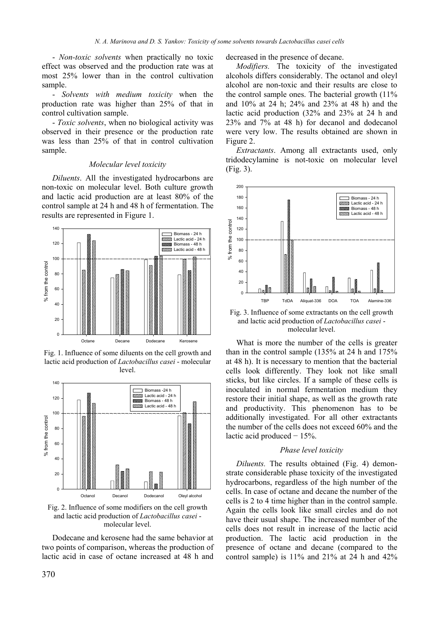- *Non-toxic solvents* when practically no toxic effect was observed and the production rate was at most 25% lower than in the control cultivation sample.

- *Solvents with medium toxicity* when the production rate was higher than 25% of that in control cultivation sample.

- *Toxic solvents*, when no biological activity was observed in their presence or the production rate was less than 25% of that in control cultivation sample.

# *Molecular level toxicity*

*Diluents*. All the investigated hydrocarbons are non-toxic on molecular level. Both culture growth and lactic acid production are at least 80% of the control sample at 24 h and 48 h of fermentation. The results are represented in Figure 1.



Fig. 1. Influence of some diluents on the cell growth and lactic acid production of *Lactobacillus casei* - molecular level.



Fig. 2. Influence of some modifiers on the cell growth and lactic acid production of *Lactobacillus casei* molecular level.

Dodecane and kerosene had the same behavior at two points of comparison, whereas the production of lactic acid in case of octane increased at 48 h and

decreased in the presence of decane.

*Modifiers.* The toxicity of the investigated alcohols differs considerably. The octanol and oleyl alcohol are non-toxic and their results are close to the control sample ones. The bacterial growth  $(11\%$ and 10% at 24 h; 24% and 23% at 48 h) and the lactic acid production (32% and 23% at 24 h and 23% and 7% at 48 h) for decanol and dodecanol were very low. The results obtained are shown in Figure 2.

*Extractants*. Among all extractants used, only tridodecylamine is not-toxic on molecular level (Fig. 3).



Fig. 3. Influence of some extractants on the cell growth and lactic acid production of *Lactobacillus casei* molecular level.

What is more the number of the cells is greater than in the control sample (135% at 24 h and 175% at 48 h). It is necessary to mention that the bacterial cells look differently. They look not like small sticks, but like circles. If a sample of these cells is inoculated in normal fermentation medium they restore their initial shape, as well as the growth rate and productivity. This phenomenon has to be additionally investigated. For all other extractants the number of the cells does not exceed 60% and the lactic acid produced − 15%.

### *Phase level toxicity*

*Diluents.* The results obtained (Fig. 4) demonstrate considerable phase toxicity of the investigated hydrocarbons, regardless of the high number of the cells. In case of octane and decane the number of the cells is 2 to 4 time higher than in the control sample. Again the cells look like small circles and do not have their usual shape. The increased number of the cells does not result in increase of the lactic acid production. The lactic acid production in the presence of octane and decane (compared to the control sample) is  $11\%$  and  $21\%$  at 24 h and  $42\%$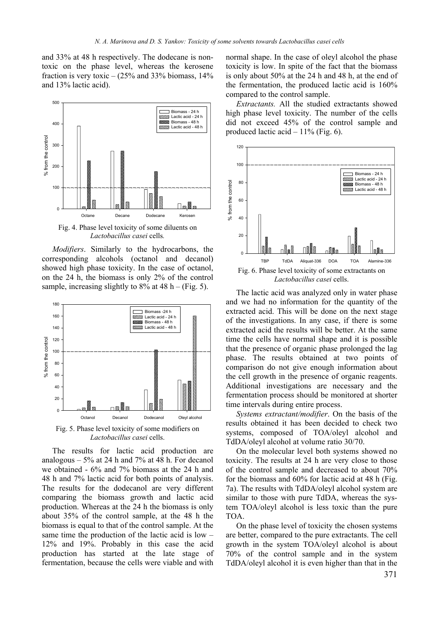and 33% at 48 h respectively. The dodecane is nontoxic on the phase level, whereas the kerosene fraction is very toxic  $-$  (25% and 33% biomass, 14% and 13% lactic acid).



Fig. 4. Phase level toxicity of some diluents on *Lactobacillus casei* cells*.* 

*Modifiers*. Similarly to the hydrocarbons, the corresponding alcohols (octanol and decanol) showed high phase toxicity. In the case of octanol, on the 24 h, the biomass is only 2% of the control sample, increasing slightly to  $8\%$  at  $48$  h – (Fig. 5).



Fig. 5. Phase level toxicity of some modifiers on *Lactobacillus casei* cells.

The results for lactic acid production are analogous  $-5\%$  at 24 h and 7% at 48 h. For decanol we obtained - 6% and 7% biomass at the 24 h and 48 h and 7% lactic acid for both points of analysis. The results for the dodecanol are very different comparing the biomass growth and lactic acid production. Whereas at the 24 h the biomass is only about 35% of the control sample, at the 48 h the biomass is equal to that of the control sample. At the same time the production of the lactic acid is low – 12% and 19%. Probably in this case the acid production has started at the late stage of fermentation, because the cells were viable and with

normal shape. In the case of oleyl alcohol the phase toxicity is low. In spite of the fact that the biomass is only about 50% at the 24 h and 48 h, at the end of the fermentation, the produced lactic acid is 160% compared to the control sample.

*Extractants.* All the studied extractants showed high phase level toxicity. The number of the cells did not exceed 45% of the control sample and produced lactic acid  $-11\%$  (Fig. 6).



The lactic acid was analyzed only in water phase and we had no information for the quantity of the extracted acid. This will be done on the next stage of the investigations. In any case, if there is some extracted acid the results will be better. At the same time the cells have normal shape and it is possible that the presence of organic phase prolonged the lag phase. The results obtained at two points of comparison do not give enough information about the cell growth in the presence of organic reagents. Additional investigations are necessary and the fermentation process should be monitored at shorter time intervals during entire process.

*Systems extractant/modifier*. On the basis of the results obtained it has been decided to check two systems, composed of TOA/oleyl alcohol and TdDA/oleyl alcohol at volume ratio 30/70.

On the molecular level both systems showed no toxicity. The results at 24 h are very close to those of the control sample and decreased to about 70% for the biomass and 60% for lactic acid at 48 h (Fig. 7a). The results with TdDA/oleyl alcohol system are similar to those with pure TdDA, whereas the system TOA/oleyl alcohol is less toxic than the pure TOA.

On the phase level of toxicity the chosen systems are better, compared to the pure extractants. The cell growth in the system TOA/oleyl alcohol is about 70% of the control sample and in the system TdDA/oleyl alcohol it is even higher than that in the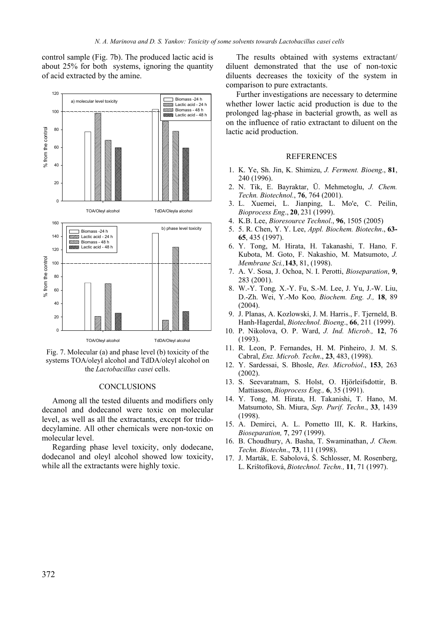control sample (Fig. 7b). The produced lactic acid is about 25% for both systems, ignoring the quantity of acid extracted by the amine.



Fig. 7. Molecular (a) and phase level (b) toxicity of the systems TOA/oleyl alcohol and TdDA/oleyl alcohol on the *Lactobacillus casei* cells.

### **CONCLUSIONS**

Among all the tested diluents and modifiers only decanol and dodecanol were toxic on molecular level, as well as all the extractants, except for tridodecylamine. All other chemicals were non-toxic on molecular level.

Regarding phase level toxicity, only dodecane, dodecanol and oleyl alcohol showed low toxicity, while all the extractants were highly toxic.

The results obtained with systems extractant/ diluent demonstrated that the use of non-toxic diluents decreases the toxicity of the system in comparison to pure extractants.

Further investigations are necessary to determine whether lower lactic acid production is due to the prolonged lag-phase in bacterial growth, as well as on the influence of ratio extractant to diluent on the lactic acid production.

### REFERENCES

- 1. K. Ye, Sh. Jin, K. Shimizu, *J. Ferment. Bioeng*., **81**, 240 (1996).
- 2. N. Tik, E. Bayraktar, Ü. Mehmetoglu, *J. Chem. Techn. Biotechnol.*, **76**, 764 (2001).
- 3. L. Xuemei, L. Jianping, L. Mo'e, C. Peilin, *Bioprocess Eng*., **20**, 231 (1999).
- 4. K.B. Lee, *Bioresource Technol*., **96**, 1505 (2005)
- 5. 5. R. Chen, Y. Y. Lee, *Appl. Biochem. Biotechn*., **63- 65**, 435 (1997).
- 6. Y. Tong, M. Hirata, H. Takanashi, T. Hano, F. Kubota, M. Goto, F. Nakashio, M. Matsumoto, *J. Membrane Sci.,***143**, 81, (1998).
- 7. A. V. Sosa, J. Ochoa, N. I. Perotti, *Bioseparation*, **9**, 283 (2001).
- 8. W.-Y. Tong*,* X.-Y. Fu, S.-M. Lee, J. Yu, J.-W. Liu, D.-Zh. Wei, Y.-Mo Koo*, Biochem. Eng. J.,* **18**, 89 (2004).
- 9. J. Planas, A. Kozlowski, J. M. Harris., F. Tjerneld, B. Hanh-Hagerdal, *Biotechnol. Bioeng*., **66**, 211 (1999).
- 10. P. Nikolova, O. P. Ward, *J. Ind. Microb.,* **12**, 76 (1993).
- 11. R. Leon, P. Fernandes, H. M. Pinheiro, J. M. S. Cabral, *Enz. Microb. Techn*., **23**, 483, (1998).
- 12. Y. Sardessai, S. Bhosle, *Res. Microbiol*., **153**, 263 (2002).
- 13. S. Seevaratnam, S. Holst, O. Hjörleifsdottir, B. Mattiasson, *Bioprocess Eng.,* **6**, 35 (1991).
- 14. Y. Tong, M. Hirata, H. Takanishi, T. Hano, M. Matsumoto, Sh. Miura, *Sep. Purif. Techn*., **33**, 1439 (1998).
- 15. A. Demirci, A. L. Pometto III, K. R. Harkins, *Bioseparation,* **7**, 297 (1999).
- 16. B. Choudhury, A. Basha, T. Swaminathan, *J. Chem. Techn. Biotechn*., **73**, 111 (1998).
- 17. J. Marták, E. Sabolová, Š. Schlosser, M. Rosenberg, L. Krištofíková, *Biotechnol. Techn.,* **11**, 71 (1997).